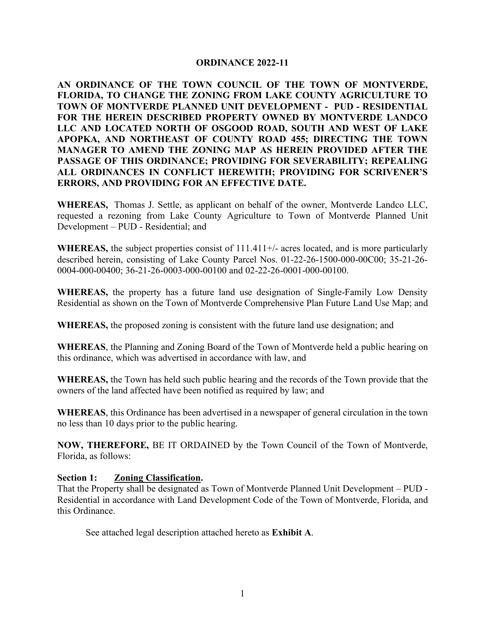#### **ORDINANCE 2022-11**

**AN ORDINANCE OF THE TOWN COUNCIL OF THE TOWN OF MONTVERDE, FLORIDA, TO CHANGE THE ZONING FROM LAKE COUNTY AGRICULTURE TO TOWN OF MONTVERDE PLANNED UNIT DEVELOPMENT - PUD - RESIDENTIAL FOR THE HEREIN DESCRIBED PROPERTY OWNED BY MONTVERDE LANDCO LLC AND LOCATED NORTH OF OSGOOD ROAD, SOUTH AND WEST OF LAKE APOPKA, AND NORTHEAST OF COUNTY ROAD 455; DIRECTING THE TOWN MANAGER TO AMEND THE ZONING MAP AS HEREIN PROVIDED AFTER THE PASSAGE OF THIS ORDINANCE; PROVIDING FOR SEVERABILITY; REPEALING ALL ORDINANCES IN CONFLICT HEREWITH; PROVIDING FOR SCRIVENER'S ERRORS, AND PROVIDING FOR AN EFFECTIVE DATE.**

**WHEREAS,** Thomas J. Settle, as applicant on behalf of the owner, Montverde Landco LLC, requested a rezoning from Lake County Agriculture to Town of Montverde Planned Unit Development – PUD - Residential; and

**WHEREAS,** the subject properties consist of 111.411+/- acres located, and is more particularly described herein, consisting of Lake County Parcel Nos. 01-22-26-1500-000-00C00; 35-21-26- 0004-000-00400; 36-21-26-0003-000-00100 and 02-22-26-0001-000-00100.

**WHEREAS,** the property has a future land use designation of Single-Family Low Density Residential as shown on the Town of Montverde Comprehensive Plan Future Land Use Map; and

**WHEREAS,** the proposed zoning is consistent with the future land use designation; and

**WHEREAS**, the Planning and Zoning Board of the Town of Montverde held a public hearing on this ordinance, which was advertised in accordance with law, and

**WHEREAS,** the Town has held such public hearing and the records of the Town provide that the owners of the land affected have been notified as required by law; and

**WHEREAS**, this Ordinance has been advertised in a newspaper of general circulation in the town no less than 10 days prior to the public hearing.

**NOW, THEREFORE,** BE IT ORDAINED by the Town Council of the Town of Montverde, Florida, as follows:

#### **Section 1: Zoning Classification.**

That the Property shall be designated as Town of Montverde Planned Unit Development – PUD - Residential in accordance with Land Development Code of the Town of Montverde, Florida, and this Ordinance.

See attached legal description attached hereto as **Exhibit A**.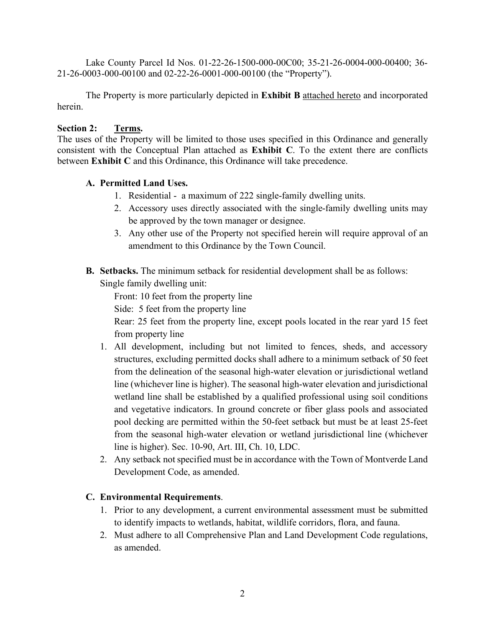Lake County Parcel Id Nos. 01-22-26-1500-000-00C00; 35-21-26-0004-000-00400; 36- 21-26-0003-000-00100 and 02-22-26-0001-000-00100 (the "Property").

The Property is more particularly depicted in **Exhibit B** attached hereto and incorporated herein.

### **Section 2: Terms.**

The uses of the Property will be limited to those uses specified in this Ordinance and generally consistent with the Conceptual Plan attached as **Exhibit C**. To the extent there are conflicts between **Exhibit C** and this Ordinance, this Ordinance will take precedence.

### **A. Permitted Land Uses.**

- 1. Residential a maximum of 222 single-family dwelling units.
- 2. Accessory uses directly associated with the single-family dwelling units may be approved by the town manager or designee.
- 3. Any other use of the Property not specified herein will require approval of an amendment to this Ordinance by the Town Council.
- **B. Setbacks.** The minimum setback for residential development shall be as follows: Single family dwelling unit:

Front: 10 feet from the property line

Side: 5 feet from the property line

Rear: 25 feet from the property line, except pools located in the rear yard 15 feet from property line

- 1. All development, including but not limited to fences, sheds, and accessory structures, excluding permitted docks shall adhere to a minimum setback of 50 feet from the delineation of the seasonal high-water elevation or jurisdictional wetland line (whichever line is higher). The seasonal high-water elevation and jurisdictional wetland line shall be established by a qualified professional using soil conditions and vegetative indicators. In ground concrete or fiber glass pools and associated pool decking are permitted within the 50-feet setback but must be at least 25-feet from the seasonal high-water elevation or wetland jurisdictional line (whichever line is higher). Sec. 10-90, Art. III, Ch. 10, LDC.
- 2. Any setback not specified must be in accordance with the Town of Montverde Land Development Code, as amended.

## **C. Environmental Requirements**.

- 1. Prior to any development, a current environmental assessment must be submitted to identify impacts to wetlands, habitat, wildlife corridors, flora, and fauna.
- 2. Must adhere to all Comprehensive Plan and Land Development Code regulations, as amended.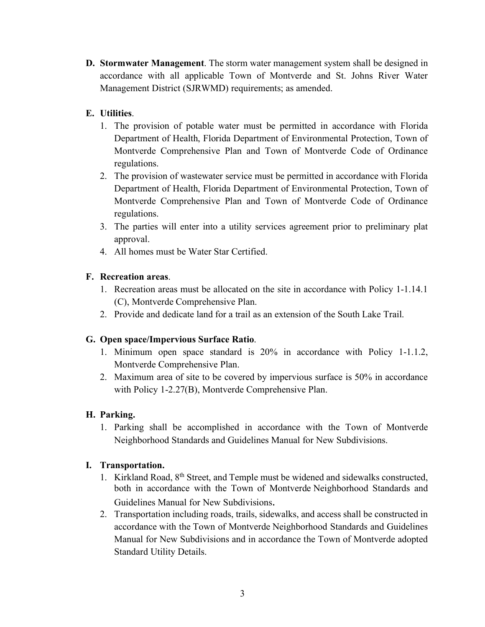**D. Stormwater Management**. The storm water management system shall be designed in accordance with all applicable Town of Montverde and St. Johns River Water Management District (SJRWMD) requirements; as amended.

## **E. Utilities**.

- 1. The provision of potable water must be permitted in accordance with Florida Department of Health, Florida Department of Environmental Protection, Town of Montverde Comprehensive Plan and Town of Montverde Code of Ordinance regulations.
- 2. The provision of wastewater service must be permitted in accordance with Florida Department of Health, Florida Department of Environmental Protection, Town of Montverde Comprehensive Plan and Town of Montverde Code of Ordinance regulations.
- 3. The parties will enter into a utility services agreement prior to preliminary plat approval.
- 4. All homes must be Water Star Certified.

## **F. Recreation areas**.

- 1. Recreation areas must be allocated on the site in accordance with Policy 1-1.14.1 (C), Montverde Comprehensive Plan.
- 2. Provide and dedicate land for a trail as an extension of the South Lake Trail.

## **G. Open space/Impervious Surface Ratio**.

- 1. Minimum open space standard is 20% in accordance with Policy 1-1.1.2, Montverde Comprehensive Plan.
- 2. Maximum area of site to be covered by impervious surface is 50% in accordance with Policy 1-2.27(B), Montverde Comprehensive Plan.

# **H. Parking.**

1. Parking shall be accomplished in accordance with the Town of Montverde Neighborhood Standards and Guidelines Manual for New Subdivisions.

## **I. Transportation.**

- 1. Kirkland Road, 8th Street, and Temple must be widened and sidewalks constructed, both in accordance with the Town of Montverde Neighborhood Standards and Guidelines Manual for New Subdivisions.
- 2. Transportation including roads, trails, sidewalks, and access shall be constructed in accordance with the Town of Montverde Neighborhood Standards and Guidelines Manual for New Subdivisions and in accordance the Town of Montverde adopted Standard Utility Details.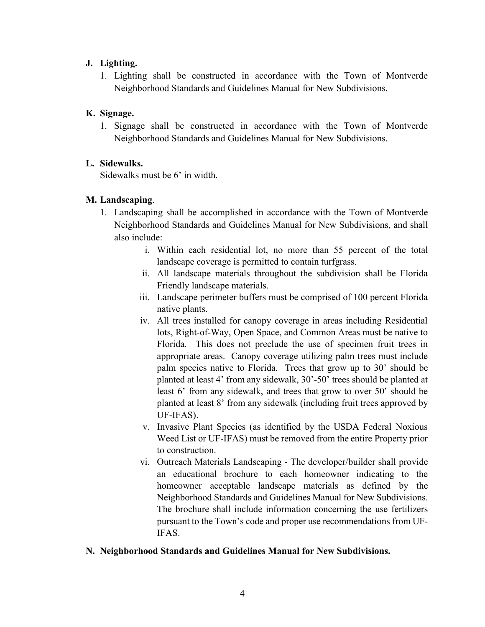## **J. Lighting.**

1. Lighting shall be constructed in accordance with the Town of Montverde Neighborhood Standards and Guidelines Manual for New Subdivisions.

## **K. Signage.**

1. Signage shall be constructed in accordance with the Town of Montverde Neighborhood Standards and Guidelines Manual for New Subdivisions.

### **L. Sidewalks.**

Sidewalks must be 6' in width.

### **M. Landscaping**.

- 1. Landscaping shall be accomplished in accordance with the Town of Montverde Neighborhood Standards and Guidelines Manual for New Subdivisions, and shall also include:
	- i. Within each residential lot, no more than 55 percent of the total landscape coverage is permitted to contain turfgrass.
	- ii. All landscape materials throughout the subdivision shall be Florida Friendly landscape materials.
	- iii. Landscape perimeter buffers must be comprised of 100 percent Florida native plants.
	- iv. All trees installed for canopy coverage in areas including Residential lots, Right-of-Way, Open Space, and Common Areas must be native to Florida. This does not preclude the use of specimen fruit trees in appropriate areas. Canopy coverage utilizing palm trees must include palm species native to Florida. Trees that grow up to 30' should be planted at least 4' from any sidewalk, 30'-50' trees should be planted at least 6' from any sidewalk, and trees that grow to over 50' should be planted at least 8' from any sidewalk (including fruit trees approved by UF-IFAS).
	- v. Invasive Plant Species (as identified by the USDA Federal Noxious Weed List or UF-IFAS) must be removed from the entire Property prior to construction.
	- vi. Outreach Materials Landscaping The developer/builder shall provide an educational brochure to each homeowner indicating to the homeowner acceptable landscape materials as defined by the Neighborhood Standards and Guidelines Manual for New Subdivisions. The brochure shall include information concerning the use fertilizers pursuant to the Town's code and proper use recommendations from UF-IFAS.

### **N. Neighborhood Standards and Guidelines Manual for New Subdivisions.**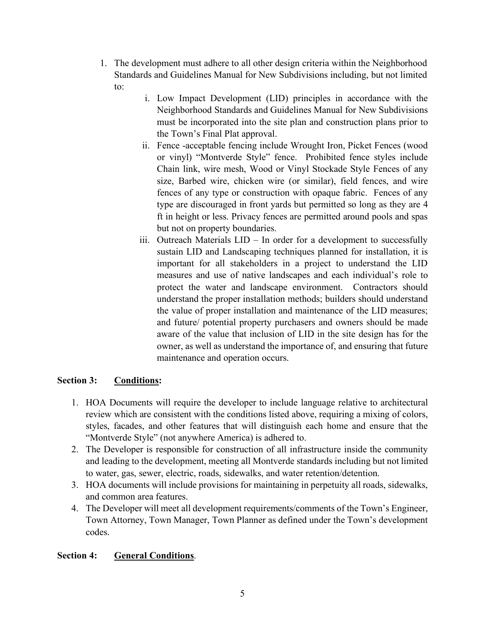- 1. The development must adhere to all other design criteria within the Neighborhood Standards and Guidelines Manual for New Subdivisions including, but not limited to:
	- i. Low Impact Development (LID) principles in accordance with the Neighborhood Standards and Guidelines Manual for New Subdivisions must be incorporated into the site plan and construction plans prior to the Town's Final Plat approval.
	- ii. Fence -acceptable fencing include Wrought Iron, Picket Fences (wood or vinyl) "Montverde Style" fence. Prohibited fence styles include Chain link, wire mesh, Wood or Vinyl Stockade Style Fences of any size, Barbed wire, chicken wire (or similar), field fences, and wire fences of any type or construction with opaque fabric. Fences of any type are discouraged in front yards but permitted so long as they are 4 ft in height or less. Privacy fences are permitted around pools and spas but not on property boundaries.
	- iii. Outreach Materials LID In order for a development to successfully sustain LID and Landscaping techniques planned for installation, it is important for all stakeholders in a project to understand the LID measures and use of native landscapes and each individual's role to protect the water and landscape environment. Contractors should understand the proper installation methods; builders should understand the value of proper installation and maintenance of the LID measures; and future/ potential property purchasers and owners should be made aware of the value that inclusion of LID in the site design has for the owner, as well as understand the importance of, and ensuring that future maintenance and operation occurs.

### **Section 3: Conditions:**

- 1. HOA Documents will require the developer to include language relative to architectural review which are consistent with the conditions listed above, requiring a mixing of colors, styles, facades, and other features that will distinguish each home and ensure that the "Montverde Style" (not anywhere America) is adhered to.
- 2. The Developer is responsible for construction of all infrastructure inside the community and leading to the development, meeting all Montverde standards including but not limited to water, gas, sewer, electric, roads, sidewalks, and water retention/detention.
- 3. HOA documents will include provisions for maintaining in perpetuity all roads, sidewalks, and common area features.
- 4. The Developer will meet all development requirements/comments of the Town's Engineer, Town Attorney, Town Manager, Town Planner as defined under the Town's development codes.

## **Section 4: General Conditions**.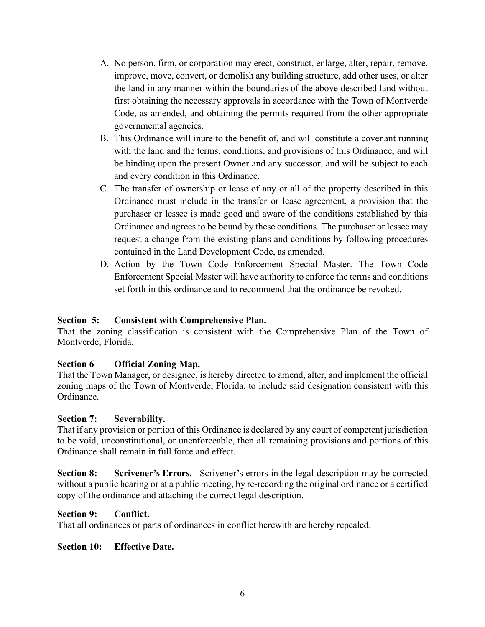- A. No person, firm, or corporation may erect, construct, enlarge, alter, repair, remove, improve, move, convert, or demolish any building structure, add other uses, or alter the land in any manner within the boundaries of the above described land without first obtaining the necessary approvals in accordance with the Town of Montverde Code, as amended, and obtaining the permits required from the other appropriate governmental agencies.
- B. This Ordinance will inure to the benefit of, and will constitute a covenant running with the land and the terms, conditions, and provisions of this Ordinance, and will be binding upon the present Owner and any successor, and will be subject to each and every condition in this Ordinance.
- C. The transfer of ownership or lease of any or all of the property described in this Ordinance must include in the transfer or lease agreement, a provision that the purchaser or lessee is made good and aware of the conditions established by this Ordinance and agrees to be bound by these conditions. The purchaser or lessee may request a change from the existing plans and conditions by following procedures contained in the Land Development Code, as amended.
- D. Action by the Town Code Enforcement Special Master. The Town Code Enforcement Special Master will have authority to enforce the terms and conditions set forth in this ordinance and to recommend that the ordinance be revoked.

### **Section 5: Consistent with Comprehensive Plan.**

That the zoning classification is consistent with the Comprehensive Plan of the Town of Montverde, Florida.

### **Section 6 Official Zoning Map.**

That the Town Manager, or designee, is hereby directed to amend, alter, and implement the official zoning maps of the Town of Montverde, Florida, to include said designation consistent with this Ordinance.

### **Section 7: Severability.**

That if any provision or portion of this Ordinance is declared by any court of competent jurisdiction to be void, unconstitutional, or unenforceable, then all remaining provisions and portions of this Ordinance shall remain in full force and effect.

**Section 8: Scrivener's Errors.** Scrivener's errors in the legal description may be corrected without a public hearing or at a public meeting, by re-recording the original ordinance or a certified copy of the ordinance and attaching the correct legal description.

### **Section 9: Conflict.**

That all ordinances or parts of ordinances in conflict herewith are hereby repealed.

### **Section 10: Effective Date.**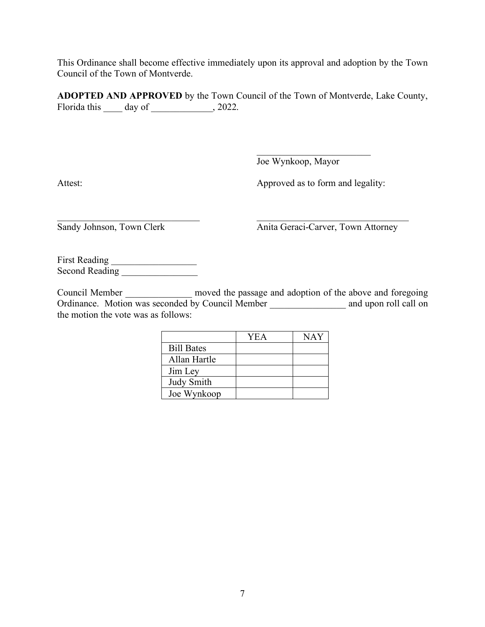This Ordinance shall become effective immediately upon its approval and adoption by the Town Council of the Town of Montverde.

**ADOPTED AND APPROVED** by the Town Council of the Town of Montverde, Lake County, Florida this  $\rule{1em}{0.15mm}$  day of  $\rule{1em}{0.15mm}$ , 2022.

Joe Wynkoop, Mayor

Attest: Approved as to form and legality:

\_\_\_\_\_\_\_\_\_\_\_\_\_\_\_\_\_\_\_\_\_\_\_\_

Sandy Johnson, Town Clerk Anita Geraci-Carver, Town Attorney

First Reading \_\_\_\_\_\_\_\_\_\_\_\_\_\_\_\_\_\_ Second Reading **Executive Second** 

Council Member moved the passage and adoption of the above and foregoing Ordinance. Motion was seconded by Council Member \_\_\_\_\_\_\_\_\_\_\_\_\_\_\_\_\_\_ and upon roll call on the motion the vote was as follows:

 $\mathcal{L}_\text{max} = \frac{1}{2} \sum_{i=1}^n \mathcal{L}_\text{max}(\mathbf{x}_i - \mathbf{y}_i)$ 

|                   | <b>YEA</b> | NAY |
|-------------------|------------|-----|
| <b>Bill Bates</b> |            |     |
| Allan Hartle      |            |     |
| Jim Ley           |            |     |
| Judy Smith        |            |     |
| Joe Wynkoop       |            |     |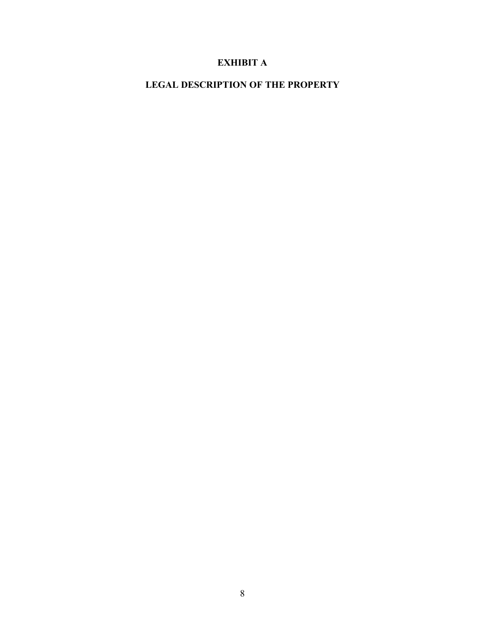# **EXHIBIT A**

**LEGAL DESCRIPTION OF THE PROPERTY**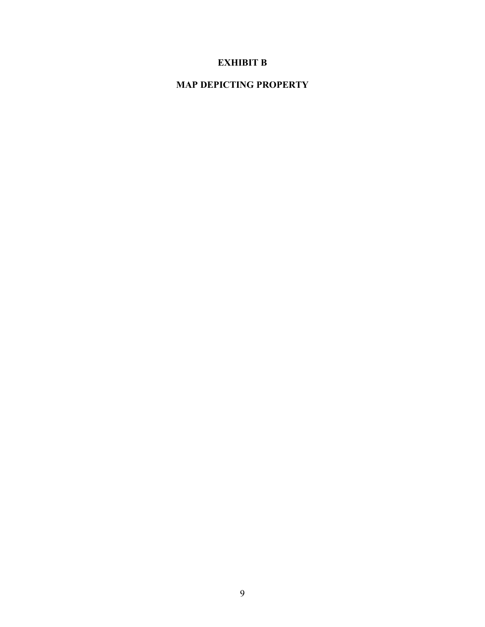## **EXHIBIT B**

# **MAP DEPICTING PROPERTY**